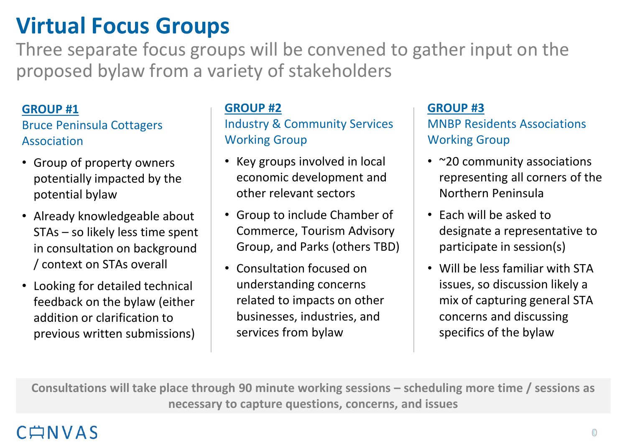# **Virtual Focus Groups**

Three separate focus groups will be convened to gather input on the proposed bylaw from a variety of stakeholders

#### **GROUP #1**

### Bruce Peninsula Cottagers Association

- Group of property owners potentially impacted by the potential bylaw
- Already knowledgeable about STAs – so likely less time spent in consultation on background / context on STAs overall
- Looking for detailed technical feedback on the bylaw (either addition or clarification to previous written submissions)

#### **GROUP #2**

Industry & Community Services Working Group

- Key groups involved in local economic development and other relevant sectors
- Group to include Chamber of Commerce, Tourism Advisory Group, and Parks (others TBD)
- Consultation focused on understanding concerns related to impacts on other businesses, industries, and services from bylaw

#### **GROUP #3**

MNBP Residents Associations Working Group

- ~20 community associations representing all corners of the Northern Peninsula
- Each will be asked to designate a representative to participate in session(s)
- Will be less familiar with STA issues, so discussion likely a mix of capturing general STA concerns and discussing specifics of the bylaw

**Consultations will take place through 90 minute working sessions – scheduling more time / sessions as necessary to capture questions, concerns, and issues**

# CANVAS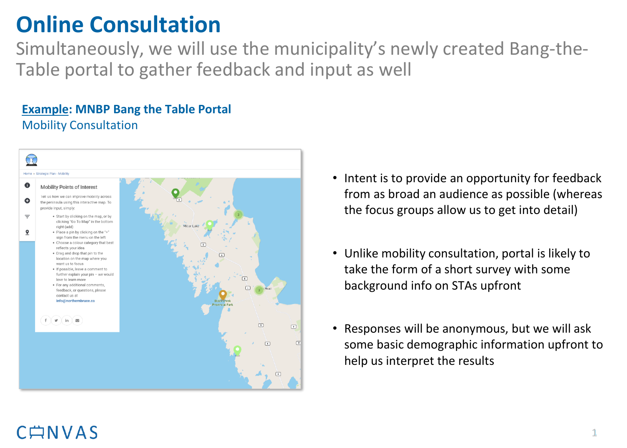# **Online Consultation**

Simultaneously, we will use the municipality's newly created Bang-the-Table portal to gather feedback and input as well

### **Example: MNBP Bang the Table Portal** Mobility Consultation



- Intent is to provide an opportunity for feedback from as broad an audience as possible (whereas the focus groups allow us to get into detail)
- Unlike mobility consultation, portal is likely to take the form of a short survey with some background info on STAs upfront
- Responses will be anonymous, but we will ask some basic demographic information upfront to help us interpret the results

## $C \nrightarrow N V A S$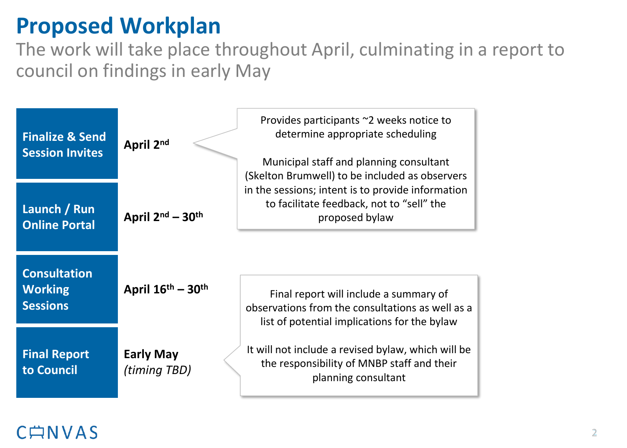# **Proposed Workplan**

The work will take place throughout April, culminating in a report to council on findings in early May



### CONVAS